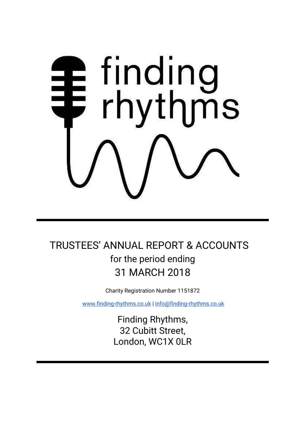# **1** finding<br>₹ rhythms

# TRUSTEES' ANNUAL REPORT & ACCOUNTS for the period ending 31 MARCH 2018

Charity Registration Number 1151872

[www.finding-rhythms.co.uk](http://www.finding-rhythms.co.uk/) | [info@finding-rhythms.co.uk](mailto:info@finding-rhythms.co.uk)

Finding Rhythms, 32 Cubitt Street, London, WC1X 0LR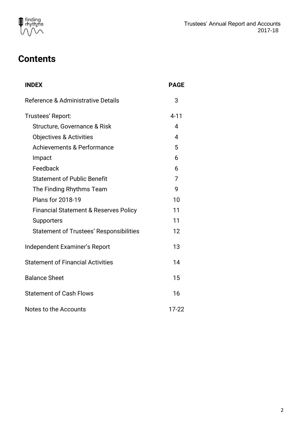

# **Contents**

| <b>INDEX</b>                                     | <b>PAGE</b> |
|--------------------------------------------------|-------------|
| Reference & Administrative Details               | 3           |
| Trustees' Report:                                | $4 - 11$    |
| Structure, Governance & Risk                     | 4           |
| <b>Objectives &amp; Activities</b>               | 4           |
| <b>Achievements &amp; Performance</b>            | 5           |
| Impact                                           | 6           |
| Feedback                                         | 6           |
| <b>Statement of Public Benefit</b>               | 7           |
| The Finding Rhythms Team                         | 9           |
| <b>Plans for 2018-19</b>                         | 10          |
| <b>Financial Statement &amp; Reserves Policy</b> | 11          |
| Supporters                                       | 11          |
| <b>Statement of Trustees' Responsibilities</b>   | 12          |
| Independent Examiner's Report                    | 13          |
| <b>Statement of Financial Activities</b>         | 14          |
| <b>Balance Sheet</b>                             | 15          |
| <b>Statement of Cash Flows</b>                   | 16          |
| Notes to the Accounts                            | $17 - 22$   |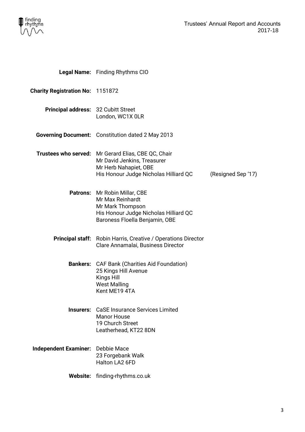

|                                            | Legal Name: Finding Rhythms CIO                                                                                                                      |                    |
|--------------------------------------------|------------------------------------------------------------------------------------------------------------------------------------------------------|--------------------|
| <b>Charity Registration No: 1151872</b>    |                                                                                                                                                      |                    |
| <b>Principal address: 32 Cubitt Street</b> | London, WC1X 0LR                                                                                                                                     |                    |
|                                            | <b>Governing Document:</b> Constitution dated 2 May 2013                                                                                             |                    |
|                                            | Trustees who served: Mr Gerard Elias, CBE QC, Chair<br>Mr David Jenkins, Treasurer<br>Mr Herb Nahapiet, OBE<br>His Honour Judge Nicholas Hilliard QC | (Resigned Sep '17) |
|                                            | Patrons: Mr Robin Millar, CBE<br>Mr Max Reinhardt<br>Mr Mark Thompson<br>His Honour Judge Nicholas Hilliard QC<br>Baroness Floella Benjamin, OBE     |                    |
|                                            | <b>Principal staff:</b> Robin Harris, Creative / Operations Director<br>Clare Annamalai, Business Director                                           |                    |
|                                            | <b>Bankers:</b> CAF Bank (Charities Aid Foundation)<br>25 Kings Hill Avenue<br>Kings Hill<br><b>West Malling</b><br>Kent ME19 4TA                    |                    |
|                                            | <b>Insurers:</b> CaSE Insurance Services Limited<br><b>Manor House</b><br>19 Church Street<br>Leatherhead, KT22 8DN                                  |                    |
| Independent Examiner: Debbie Mace          | 23 Forgebank Walk<br>Halton LA2 6FD                                                                                                                  |                    |
|                                            | Website: finding-rhythms.co.uk                                                                                                                       |                    |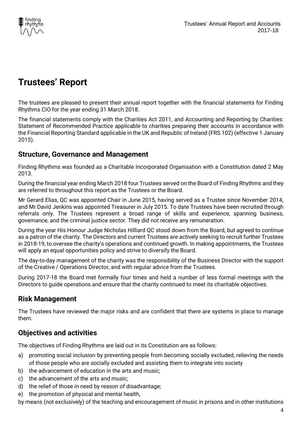

# **Trustees' Report**

The trustees are pleased to present their annual report together with the financial statements for Finding Rhythms CIO for the year ending 31 March 2018.

The financial statements comply with the Charities Act 2011, and Accounting and Reporting by Charities: Statement of Recommended Practice applicable to charities preparing their accounts in accordance with the Financial Reporting Standard applicable in the UK and Republic of Ireland (FRS 102) (effective 1 January 2015).

# **Structure, Governance and Management**

Finding Rhythms was founded as a Charitable Incorporated Organisation with a Constitution dated 2 May 2013.

During the financial year ending March 2018 four Trustees served on the Board of Finding Rhythms and they are referred to throughout this report as the Trustees or the Board.

Mr Gerard Elias, QC was appointed Chair in June 2015, having served as a Trustee since November 2014, and Mr David Jenkins was appointed Treasurer in July 2015. To date Trustees have been recruited through referrals only. The Trustees represent a broad range of skills and experience, spanning business, governance, and the criminal justice sector. They did not receive any remuneration.

During the year His Honour Judge Nicholas Hilliard QC stood down from the Board, but agreed to continue as a patron of the charity. The Directors and current Trustees are actively seeking to recruit further Trustees in 2018-19, to oversee the charity's operations and continued growth. In making appointments, the Trustees will apply an equal opportunities policy and strive to diversify the Board.

The day-to-day management of the charity was the responsibility of the Business Director with the support of the Creative / Operations Director, and with regular advice from the Trustees.

During 2017-18 the Board met formally four times and held a number of less formal meetings with the Directors to guide operations and ensure that the charity continued to meet its charitable objectives.

# **Risk Management**

The Trustees have reviewed the major risks and are confident that there are systems in place to manage them.

# **Objectives and activities**

The objectives of Finding Rhythms are laid out in its Constitution are as follows:

- a) promoting social inclusion by preventing people from becoming socially excluded, relieving the needs of those people who are socially excluded and assisting them to integrate into society
- b) the advancement of education in the arts and music;
- c) the advancement of the arts and music;
- d) the relief of those in need by reason of disadvantage;
- e) the promotion of physical and mental health,

by means (not exclusively) of the teaching and encouragement of music in prisons and in other institutions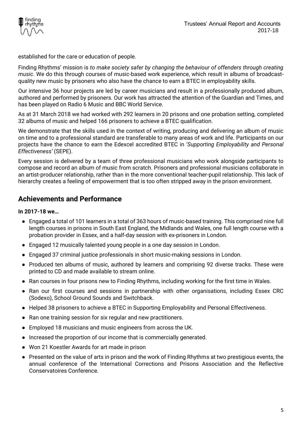

established for the care or education of people.

Finding Rhythms' mission is *to make society safer by changing the behaviour of offenders through creating music*. We do this through courses of music-based work experience, which result in albums of broadcastquality new music by prisoners who also have the chance to earn a BTEC in employability skills.

Our intensive 36 hour projects are led by career musicians and result in a professionally produced album, authored and performed by prisoners. Our work has attracted the attention of the Guardian and Times, and has been played on Radio 6 Music and BBC World Service.

As at 31 March 2018 we had worked with 292 learners in 20 prisons and one probation setting, completed 32 albums of music and helped 166 prisoners to achieve a BTEC qualification.

We demonstrate that the skills used in the context of writing, producing and delivering an album of music on time and to a professional standard are transferable to many areas of work and life. Participants on our projects have the chance to earn the Edexcel accredited BTEC in '*Supporting Employability and Personal Effectiveness'* (SEPE).

Every session is delivered by a team of three professional musicians who work alongside participants to compose and record an album of music from scratch. Prisoners and professional musicians collaborate in an artist-producer relationship, rather than in the more conventional teacher-pupil relationship. This lack of hierarchy creates a feeling of empowerment that is too often stripped away in the prison environment.

# **Achievements and Performance**

# **In 2017-18 we…**

- Engaged a total of 101 learners in a total of 363 hours of music-based training. This comprised nine full length courses in prisons in South East England, the Midlands and Wales, one full length course with a probation provider in Essex, and a half-day session with ex-prisoners in London.
- Engaged 12 musically talented young people in a one day session in London.
- Engaged 37 criminal justice professionals in short music-making sessions in London.
- Produced ten albums of music, authored by learners and comprising 92 diverse tracks. These were printed to CD and made available to stream online.
- Ran courses in four prisons new to Finding Rhythms, including working for the first time in Wales.
- Ran our first courses and sessions in partnership with other organisations, including Essex CRC (Sodexo), School Ground Sounds and Switchback.
- Helped 38 prisoners to achieve a BTEC in Supporting Employability and Personal Effectiveness.
- Ran one training session for six regular and new practitioners.
- Employed 18 musicians and music engineers from across the UK.
- Increased the proportion of our income that is commercially generated.
- Won 21 Koestler Awards for art made in prison
- Presented on the value of arts in prison and the work of Finding Rhythms at two prestigious events, the annual conference of the International Corrections and Prisons Association and the Reflective Conservatoires Conference.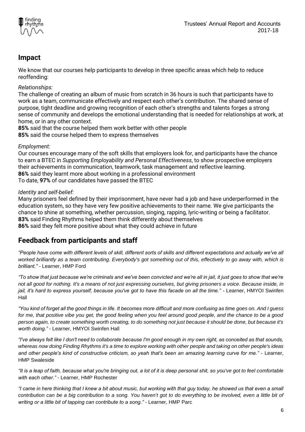

# **Impact**

We know that our courses help participants to develop in three specific areas which help to reduce reoffending:

# *Relationships:*

The challenge of creating an album of music from scratch in 36 hours is such that participants have to work as a team, communicate effectively and respect each other's contribution. The shared sense of purpose, tight deadline and growing recognition of each other's strengths and talents forges a strong sense of community and develops the emotional understanding that is needed for relationships at work, at home, or in any other context.

**85%** said that the course helped them work better with other people **85%** said the course helped them to express themselves

# *Employment:*

Our courses encourage many of the soft skills that employers look for, and participants have the chance to earn a BTEC in *Supporting Employability and Personal Effectiveness*, to show prospective employers their achievements in communication, teamwork, task management and reflective learning. **86%** said they learnt more about working in a professional environment To date, **97%** of our candidates have passed the BTEC

# *Identity and self-belief:*

Many prisoners feel defined by their imprisonment, have never had a job and have underperformed in the education system, so they have very few positive achievements to their name. We give participants the chance to shine at something, whether percussion, singing, rapping, lyric-writing or being a facilitator. **83%** said Finding Rhythms helped them think differently about themselves **86%** said they felt more positive about what they could achieve in future

# **Feedback from participants and staff**

*"People have come with different levels of skill, different sorts of skills and different expectations and actually we've all worked brilliantly as a team contributing. Everybody's got something out of this, effectively to go away with, which is brilliant." -* Learner, HMP Ford

*"To show that just because we're criminals and we've been convicted and we're all in jail, it just goes to show that we're not all good for nothing. It's a means of not just expressing ourselves, but giving prisoners a voice. Because inside, in jail, it's hard to express yourself, because you've got to have this facade on all the time." -* Learner, HMYOI Swinfen Hall

*"You kind of forget all the good things in life. It becomes more difficult and more confusing as time goes on. And I guess for me, that positive vibe you get, the good feeling when you feel around good people, and the chance to be a good person again, to create something worth creating, to do something not just because it should be done, but because it's worth doing."* - Learner, HMYOI Swinfen Hall

*"I've always felt like I don't need to collaborate because I'm good enough in my own right, as conceited as that sounds, whereas now doing Finding Rhythms it's a time to explore working with other people and taking on other people's ideas and other people's kind of constructive criticism, so yeah that's been an amazing learning curve for me."* - Learner, HMP Swaleside

*"It is a leap of faith, because what you're bringing out, a lot of it is deep personal shit, so you've got to feel comfortable with each other."* - Learner, HMP Rochester

*"I came in here thinking that I knew a bit about music, but working with that guy today, he showed us that even a small contribution can be a big contribution to a song. You haven't got to do everything to be involved, even a little bit of writing or a little bit of tapping can contribute to a song."* - Learner, HMP Parc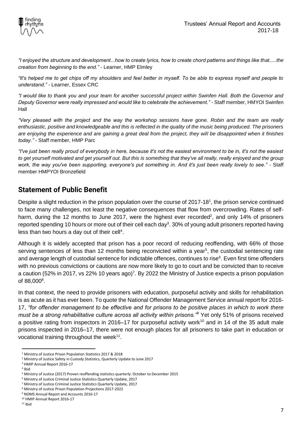

*"I enjoyed the structure and development...how to create lyrics, how to create chord patterns and things like that.....the creation from beginning to the end."* - Learner, HMP Elmley

*"It's helped me to get chips off my shoulders and feel better in myself. To be able to express myself and people to understand."* - Learner, Essex CRC

*"I would like to thank you and your team for another successful project within Swinfen Hall. Both the Governor and Deputy Governor were really impressed and would like to celebrate the achievement." -* Staff member, HMYOI Swinfen Hall

*"Very pleased with the project and the way the workshop sessions have gone. Robin and the team are really enthusiastic, positive and knowledgeable and this is reflected in the quality of the music being produced. The prisoners are enjoying the experience and are gaining a great deal from the project, they will be disappointed when it finishes today."* - Staff member, HMP Parc

*"I've just been really proud of everybody in here, because it's not the easiest environment to be in, it's not the easiest to get yourself motivated and get yourself out. But this is something that they've all really, really enjoyed and the group work, the way you've been supporting, everyone's put something in. And it's just been really lovely to see."* - Staff member HMPYOI Bronzefield

# **Statement of Public Benefit**

Despite a slight reduction in the prison population over the course of 2017-18<sup>1</sup>, the prison service continued to face many challenges, not least the negative consequences that flow from overcrowding. Rates of selfharm, during the 12 months to June 2017, were the highest ever recorded<sup>2</sup>, and only 14% of prisoners reported spending 10 hours or more out of their cell each day<sup>3</sup>. 30% of young adult prisoners reported having less than two hours a day out of their cell<sup>4</sup>.

Although it is widely accepted that prison has a poor record of reducing reoffending, with 66% of those serving sentences of less than 12 months being reconvicted within a year<sup>5</sup>, the custodial sentencing rate and average length of custodial sentence for indictable offences, continues to rise<sup>6</sup>. Even first time offenders with no previous convictions or cautions are now more likely to go to court and be convicted than to receive a caution (52% in 2017, vs 22% 10 years ago)<sup>7</sup>. By 2022 the Ministry of Justice expects a prison population of 88,000<sup>8</sup>.

In that context, the need to provide prisoners with education, purposeful activity and skills for rehabilitation is as acute as it has ever been. To quote the National Offender Management Service annual report for 2016- 17, *"for offender management to be effective and for prisons to be positive places in which to work there must be a strong rehabilitative culture across all activity within prisons."<sup>9</sup>* Yet only 51% of prisons received a positive rating from inspectors in 2016–17 for purposeful activity work<sup>10</sup> and in 14 of the 35 adult male prisons inspected in 2016–17, there were not enough places for all prisoners to take part in education or vocational training throughout the week<sup>11</sup>.

 $\ddot{\phantom{a}}$ 

<sup>1</sup> Ministry of Justice Prison Population Statistics 2017 & 2018

<sup>2</sup> Ministry of Justice Safety in Custody Statistics, Quarterly Update to June 2017

<sup>3</sup> HMIP Annual Report 2016-17

<sup>4</sup> Ibid

<sup>5</sup> Ministry of Justice (2017) Proven reoffending statistics quarterly: October to December 2015

<sup>6</sup> Ministry of Justice Criminal Justice Statistics Quarterly Update, 2017

<sup>7</sup> Ministry of Justice Criminal Justice Statistics Quarterly Update, 2017

<sup>8</sup> Ministry of Justice Prison Population Projections 2017-2022

<sup>9</sup> NOMS Annual Report and Accounts 2016-17

<sup>10</sup> HMIP Annual Report 2016-17

 $11$  Ibid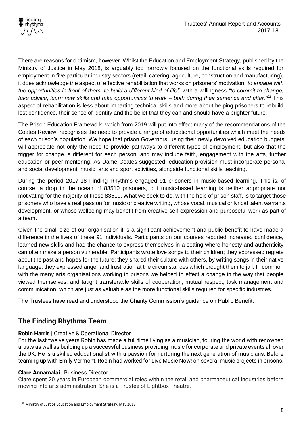

There are reasons for optimism, however. Whilst the Education and Employment Strategy, published by the Ministry of Justice in May 2018, is arguably too narrowly focused on the functional skills required for employment in five particular industry sectors (retail, catering, agriculture, construction and manufacturing), it does acknowledge the aspect of effective rehabilitation that works on prisoners' motivation "*to engage with the opportunities in front of them, to build a different kind of life"*, with a willingness *"to commit to change, take advice, learn new skills and take opportunities to work – both during their sentence and after."<sup>12</sup>* This aspect of rehabilitation is less about imparting technical skills and more about helping prisoners to rebuild lost confidence, their sense of identity and the belief that they can and should have a brighter future.

The Prison Education Framework, which from 2019 will put into effect many of the recommendations of the Coates Review, recognises the need to provide a range of educational opportunities which meet the needs of each prison's population. We hope that prison Governors, using their newly devolved education budgets, will appreciate not only the need to provide pathways to different types of employment, but also that the trigger for change is different for each person, and may include faith, engagement with the arts, further education or peer mentoring. As Dame Coates suggested, education provision must incorporate personal and social development, music, arts and sport activities, alongside functional skills teaching.

During the period 2017-18 Finding Rhythms engaged 91 prisoners in music-based learning. This is, of course, a drop in the ocean of 83510 prisoners, but music-based learning is neither appropriate nor motivating for the majority of those 83510. What we seek to do, with the help of prison staff, is to target those prisoners who have a real passion for music or creative writing, whose vocal, musical or lyrical talent warrants development, or whose wellbeing may benefit from creative self-expression and purposeful work as part of a team.

Given the small size of our organisation it is a significant achievement and public benefit to have made a difference in the lives of these 91 individuals. Participants on our courses reported increased confidence, learned new skills and had the chance to express themselves in a setting where honesty and authenticity can often make a person vulnerable. Participants wrote love songs to their children; they expressed regrets about the past and hopes for the future; they shared their culture with others, by writing songs in their native language; they expressed anger and frustration at the circumstances which brought them to jail. In common with the many arts organisations working in prisons we helped to effect a change in the way that people viewed themselves, and taught transferable skills of cooperation, mutual respect, task management and communication, which are just as valuable as the more functional skills required for specific industries.

The Trustees have read and understood the Charity Commission's guidance on Public Benefit.

# **The Finding Rhythms Team**

# **Robin Harris** | Creative & Operational Director

For the last twelve years Robin has made a full time living as a musician, touring the world with renowned artists as well as building up a successful business providing music for corporate and private events all over the UK. He is a skilled educationalist with a passion for nurturing the next generation of musicians. Before teaming up with Emily Vermont, Robin had worked for Live Music Now! on several music projects in prisons.

# **Clare Annamalai** | Business Director

 $\overline{a}$ 

Clare spent 20 years in European commercial roles within the retail and pharmaceutical industries before moving into arts administration. She is a Trustee of Lightbox Theatre.

<sup>&</sup>lt;sup>12</sup> Ministry of Justice Education and Employment Strategy, May 2018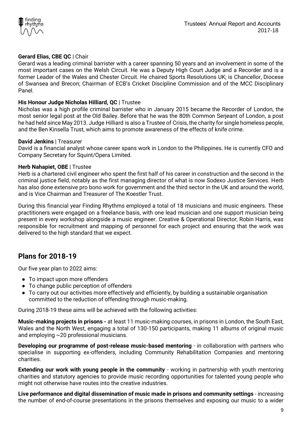

# **Gerard Elias, CBE QC** | Chair

Gerard was a leading criminal barrister with a career spanning 50 years and an involvement in some of the most important cases on the Welsh Circuit. He was a Deputy High Court Judge and a Recorder and is a former Leader of the Wales and Chester Circuit. He chaired Sports Resolutions UK; is Chancellor, Diocese of Swansea and Brecon; Chairman of ECB's Cricket Discipline Commission and of the MCC Disciplinary Panel.

# **His Honour Judge Nicholas Hilliard, QC** | Trustee

Nicholas was a high profile criminal barrister who in January 2015 became the Recorder of London, the most senior legal post at the [Old Bailey.](http://www.oldbaileyonline.org/) Before that he was the 80th Common Serjeant of London, a post he had held since May 2013. Judge Hilliard is also a Trustee of [Crisis,](http://www.crisis.org.uk/) the charity for single homeless people, and the Ben Kinsella Trust, which aims to promote awareness of the effects of knife crime.

# **David Jenkins** | Treasurer

David is a financial analyst whose career spans work in London to the Philippines. He is currently CFO and Company Secretary for Squint/Opera Limited.

## **Herb Nahapiet, OBE** | Trustee

Herb is a chartered civil engineer who spent the first half of his career in construction and the second in the criminal justice field, notably as the first managing director of what is now Sodexo Justice Services. Herb has also done extensive pro bono work for government and the third sector in the UK and around the world, and is Vice Chairman and Treasurer of The Koestler Trust.

During this financial year Finding Rhythms employed a total of 18 musicians and music engineers. These practitioners were engaged on a freelance basis, with one lead musician and one support musician being present in every workshop alongside a music engineer. Creative & Operational Director, Robin Harris, was responsible for recruitment and mapping of personnel for each project and ensuring that the work was delivered to the high standard that we expect.

# **Plans for 2018-19**

Our five year plan to 2022 aims:

- To impact upon more offenders
- To change public perception of offenders
- To carry out our activities more effectively and efficiently, by building a sustainable organisation committed to the reduction of offending through music-making.

During 2018-19 these aims will be achieved with the following activities:

**Music-making projects in prisons -** at least 11 music-making courses, in prisons in London, the South East, Wales and the North West, engaging a total of 130-150 participants, making 11 albums of original music and employing ~20 professional musicians.

**Developing our programme of post-release music-based mentoring** - in collaboration with partners who specialise in supporting ex-offenders, including Community Rehabilitation Companies and mentoring charities.

**Extending our work with young people in the community** - working in partnership with youth mentoring charities and statutory agencies to provide music recording opportunities for talented young people who might not otherwise have routes into the creative industries.

**Live performance and digital dissemination of music made in prisons and community settings** - increasing the number of end-of-course presentations in the prisons themselves and exposing our music to a wider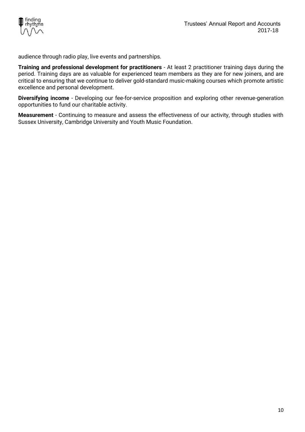

audience through radio play, live events and partnerships.

**Training and professional development for practitioners** - At least 2 practitioner training days during the period. Training days are as valuable for experienced team members as they are for new joiners, and are critical to ensuring that we continue to deliver gold-standard music-making courses which promote artistic excellence and personal development.

**Diversifying income** - Developing our fee-for-service proposition and exploring other revenue-generation opportunities to fund our charitable activity.

**Measurement** - Continuing to measure and assess the effectiveness of our activity, through studies with Sussex University, Cambridge University and Youth Music Foundation.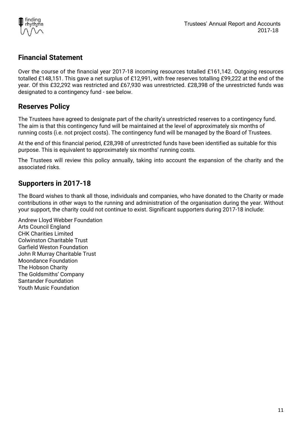

# **Financial Statement**

Over the course of the financial year 2017-18 incoming resources totalled £161,142. Outgoing resources totalled £148,151. This gave a net surplus of £12,991, with free reserves totalling £99,222 at the end of the year. Of this £32,292 was restricted and £67,930 was unrestricted. £28,398 of the unrestricted funds was designated to a contingency fund - see below.

# **Reserves Policy**

The Trustees have agreed to designate part of the charity's unrestricted reserves to a contingency fund. The aim is that this contingency fund will be maintained at the level of approximately six months of running costs (i.e. not project costs). The contingency fund will be managed by the Board of Trustees.

At the end of this financial period, £28,398 of unrestricted funds have been identified as suitable for this purpose. This is equivalent to approximately six months' running costs.

The Trustees will review this policy annually, taking into account the expansion of the charity and the associated risks.

# **Supporters in 2017-18**

The Board wishes to thank all those, individuals and companies, who have donated to the Charity or made contributions in other ways to the running and administration of the organisation during the year. Without your support, the charity could not continue to exist. Significant supporters during 2017-18 include:

Andrew Lloyd Webber Foundation Arts Council England CHK Charities Limited Colwinston Charitable Trust Garfield Weston Foundation John R Murray Charitable Trust Moondance Foundation The Hobson Charity The Goldsmiths' Company Santander Foundation Youth Music Foundation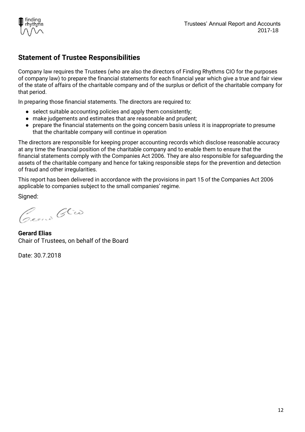

# **Statement of Trustee Responsibilities**

Company law requires the Trustees (who are also the directors of Finding Rhythms CIO for the purposes of company law) to prepare the financial statements for each financial year which give a true and fair view of the state of affairs of the charitable company and of the surplus or deficit of the charitable company for that period.

In preparing those financial statements. The directors are required to:

- select suitable accounting policies and apply them consistently;
- make judgements and estimates that are reasonable and prudent;
- prepare the financial statements on the going concern basis unless it is inappropriate to presume that the charitable company will continue in operation

The directors are responsible for keeping proper accounting records which disclose reasonable accuracy at any time the financial position of the charitable company and to enable them to ensure that the financial statements comply with the Companies Act 2006. They are also responsible for safeguarding the assets of the charitable company and hence for taking responsible steps for the prevention and detection of fraud and other irregularities.

This report has been delivered in accordance with the provisions in part 15 of the Companies Act 2006 applicable to companies subject to the small companies' regime.

Signed:

Cream Glio

**Gerard Elias** Chair of Trustees, on behalf of the Board

Date: 30.7.2018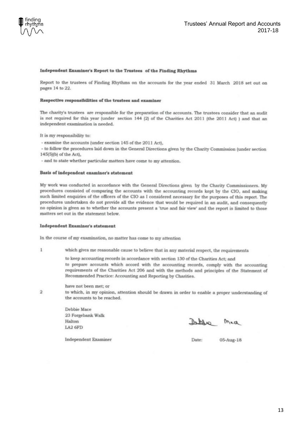

#### Independent Examiner's Report to the Trustees of the Finding Rhythms

Report to the trustees of Finding Rhythms on the accounts for the year ended 31 March 2018 set out on pages 14 to 22.

#### Respective responsibilities of the trustees and examiner

The charity's trustees are responsible for the preparation of the accounts. The trustees consider that an audit is not required for this year (under section 144 (2) of the Charities Act 2011 (the 2011 Act) ) and that an independent examination is needed.

It is my responsibility to:

- examine the accounts (under section 145 of the 2011 Act).

- to follow the procedures laid down in the General Directions given by the Charity Commission (under section 145(5)(b) of the Act).

- and to state whether particular matters have come to my attention.

#### Basis of independent examiner's statement

My work was conducted in accordance with the General Directions given by the Charity Commissioners. My procedures consisted of comparing the accounts with the accounting records kept by the CIO, and making such limited enquiries of the officers of the CIO as I considered necessary for the purposes of this report. The procedures undertaken do not provide all the evidence that would be required in an audit, and consequently no opinion is given as to whether the accounts present a 'true and fair view' and the report is limited to those matters set out in the statement below.

#### Independent Examiner's statement

In the course of my examination, no matter has come to my attention

 $\mathbf{1}$ which gives me reasonable cause to believe that in any material respect, the requirements

Recommended Practice: Accounting and Reporting by Charities.

to keep accounting records in accordance with section 130 of the Charities Act; and to prepare accounts which accord with the accounting records, comply with the accounting requirements of the Charities Act 206 and with the methods and principles of the Statement of

 $\mathcal{D}$ 

have not been met; or

to which, in my opinion, attention should be drawn in order to enable a proper understanding of the accounts to be reached.

Debbie Mace 23 Forgebank Walk Halton LA2 6FD

Deplus Med

**Independent Examiner** 

Date: 05-Aug-18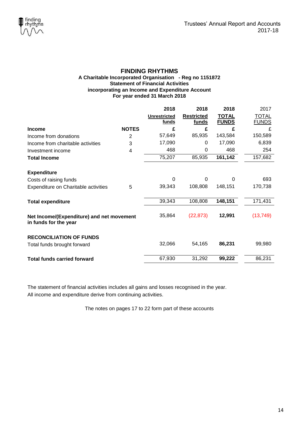

## **FINDING RHYTHMS A Charitable Incorporated Organisation - Reg no 1151872 Statement of Financial Activities incorporating an Income and Expenditure Account For year ended 31 March 2018**

|                                                                    |              | 2018                | 2018              | 2018         | 2017         |
|--------------------------------------------------------------------|--------------|---------------------|-------------------|--------------|--------------|
|                                                                    |              | <b>Unrestricted</b> | <b>Restricted</b> | <b>TOTAL</b> | <b>TOTAL</b> |
|                                                                    |              | funds               | funds             | <b>FUNDS</b> | <b>FUNDS</b> |
| <b>Income</b>                                                      | <b>NOTES</b> | £                   | £                 | £            | £            |
| Income from donations                                              | 2            | 57,649              | 85,935            | 143,584      | 150,589      |
| Income from charitable activities                                  | 3            | 17,090              | 0                 | 17,090       | 6,839        |
| Investment income                                                  | 4            | 468                 | 0                 | 468          | 254          |
| <b>Total Income</b>                                                |              | 75,207              | 85,935            | 161,142      | 157,682      |
| <b>Expenditure</b>                                                 |              |                     |                   |              |              |
| Costs of raising funds                                             |              | $\Omega$            | 0                 | 0            | 693          |
| Expenditure on Charitable activities                               | 5            | 39,343              | 108,808           | 148,151      | 170,738      |
| <b>Total expenditure</b>                                           |              | 39,343              | 108,808           | 148,151      | 171,431      |
| Net Income/(Expenditure) and net movement<br>in funds for the year |              | 35,864              | (22, 873)         | 12,991       | (13, 749)    |
| <b>RECONCILIATION OF FUNDS</b>                                     |              |                     |                   |              |              |
| Total funds brought forward                                        |              | 32,066              | 54,165            | 86,231       | 99,980       |
| <b>Total funds carried forward</b>                                 |              | 67,930              | 31,292            | 99,222       | 86,231       |

The statement of financial activities includes all gains and losses recognised in the year. All income and expenditure derive from continuing activities.

The notes on pages 17 to 22 form part of these accounts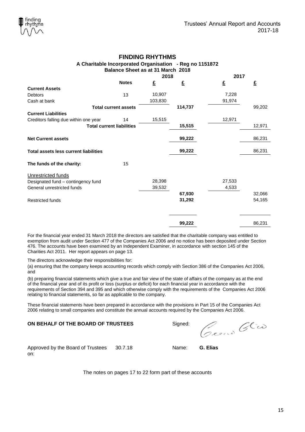## **FINDING RHYTHMS A Charitable Incorporated Organisation - Reg no 1151872 Balance Sheet as at 31 March 2018**

|                                              |                                  | 2018    |         | 2017   |        |
|----------------------------------------------|----------------------------------|---------|---------|--------|--------|
|                                              | <b>Notes</b>                     | £       | £       | £      | £      |
| <b>Current Assets</b>                        |                                  |         |         |        |        |
| <b>Debtors</b>                               | 13                               | 10,907  |         | 7,228  |        |
| Cash at bank                                 |                                  | 103,830 |         | 91,974 |        |
|                                              | <b>Total current assets</b>      |         | 114,737 |        | 99,202 |
| <b>Current Liabilities</b>                   |                                  |         |         |        |        |
| Creditors falling due within one year        | 14                               | 15,515  |         | 12,971 |        |
|                                              | <b>Total current liabilities</b> |         | 15,515  |        | 12,971 |
| <b>Net Current assets</b>                    |                                  |         | 99,222  |        | 86,231 |
| <b>Total assets less current liabilities</b> |                                  |         | 99,222  |        | 86,231 |
| The funds of the charity:                    | 15                               |         |         |        |        |
| Unrestricted funds                           |                                  |         |         |        |        |
| Designated fund - contingency fund           |                                  | 28,398  |         | 27,533 |        |
| General unrestricted funds                   |                                  | 39,532  |         | 4,533  |        |
|                                              |                                  |         | 67,930  |        | 32,066 |
| <b>Restricted funds</b>                      |                                  |         | 31,292  |        | 54,165 |
|                                              |                                  |         |         |        |        |
|                                              |                                  |         | 99,222  |        | 86,231 |

For the financial year ended 31 March 2018 the directors are satisfied that the charitable company was entitled to exemption from audit under Section 477 of the Companies Act 2006 and no notice has been deposited under Section 476. The accounts have been examined by an Independent Examiner, in accordance with section 145 of the Charities Act 2011. Her report appears on page 13.

The directors acknowledge their responsibilities for:

(a) ensuring that the company keeps accounting records which comply with Section 386 of the Companies Act 2006, and

(b) preparing financial statements which give a true and fair view of the state of affairs of the company as at the end of the financial year and of its profit or loss (surplus or deficit) for each financial year in accordance with the requirements of Section 394 and 395 and which otherwise comply with the requirements of the Companies Act 2006 relating to financial statements, so far as applicable to the company.

These financial statements have been prepared in accordance with the provisions in Part 15 of the Companies Act 2006 relating to small companies and constitute the annual accounts required by the Companies Act 2006.

# **ON BEHALF Of THE BOARD OF TRUSTEES** Signed:

Real Glio

Approved by the Board of Trustees on:

30.7.18 Name: **G. Elias**

The notes on pages 17 to 22 form part of these accounts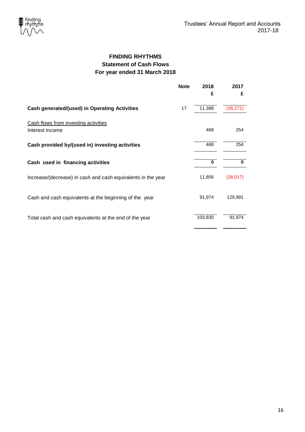

# **FINDING RHYTHMS Statement of Cash Flows For year ended 31 March 2018**

|                                                              | <b>Note</b> | 2018    | 2017      |
|--------------------------------------------------------------|-------------|---------|-----------|
|                                                              |             | £       | £         |
| <b>Cash generated/(used) in Operating Activities</b>         | 17          | 11,388  | (38, 271) |
| Cash flows from investing activities<br>Interest income      |             | 468     | 254       |
| Cash provided by/(used in) investing activities              |             | 468     | 254       |
| Cash used in financing activities                            |             | 0       | $\bf{0}$  |
| Increase/(decrease) in cash and cash equivalents in the year |             | 11,856  | (38, 017) |
| Cash and cash equivalents at the beginning of the year       |             | 91,974  | 129,991   |
| Total cash and cash equivalents at the end of the year       |             | 103,830 | 91,974    |
|                                                              |             |         |           |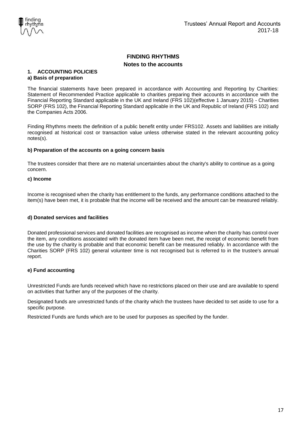

# **1. ACCOUNTING POLICIES**

## **a) Basis of preparation**

The financial statements have been prepared in accordance with Accounting and Reporting by Charities: Statement of Recommended Practice applicable to charities preparing their accounts in accordance with the Financial Reporting Standard applicable in the UK and Ireland (FRS 102)(effective 1 January 2015) - Charities SORP (FRS 102), the Financial Reporting Standard applicable in the UK and Republic of Ireland (FRS 102) and the Companies Acts 2006.

Finding Rhythms meets the definition of a public benefit entity under FRS102. Assets and liabilities are initially recognised at historical cost or transaction value unless otherwise stated in the relevant accounting policy notes(s).

## **b) Preparation of the accounts on a going concern basis**

The trustees consider that there are no material uncertainties about the charity's ability to continue as a going concern.

## **c) Income**

Income is recognised when the charity has entitlement to the funds, any performance conditions attached to the item(s) have been met, it is probable that the income will be received and the amount can be measured reliably.

## **d) Donated services and facilities**

Donated professional services and donated facilities are recognised as income when the charity has control over the item, any conditions associated with the donated item have been met, the receipt of economic benefit from the use by the charity is probable and that economic benefit can be measured reliably. In accordance with the Charities SORP (FRS 102) general volunteer time is not recognised but is referred to in the trustee's annual report.

## **e) Fund accounting**

Unrestricted Funds are funds received which have no restrictions placed on their use and are available to spend on activities that further any of the purposes of the charity.

Designated funds are unrestricted funds of the charity which the trustees have decided to set aside to use for a specific purpose.

Restricted Funds are funds which are to be used for purposes as specified by the funder.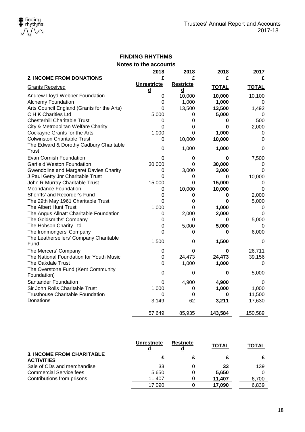|                                            | 2018               | 2018             | 2018         | 2017         |
|--------------------------------------------|--------------------|------------------|--------------|--------------|
| 2. INCOME FROM DONATIONS                   | £                  | £                | £            | £            |
| <b>Grants Received</b>                     | <b>Unrestricte</b> | <b>Restricte</b> | <b>TOTAL</b> | <b>TOTAL</b> |
|                                            | d                  | d                |              |              |
| Andrew Lloyd Webber Foundation             | 0                  | 10,000           | 10,000       | 10,100       |
| <b>Alchemy Foundation</b>                  | 0                  | 1,000            | 1,000        | 0            |
| Arts Council England (Grants for the Arts) | $\overline{0}$     | 13,500           | 13,500       | 1,492        |
| C H K Charities Ltd                        | 5,000              | 0                | 5,000        | 0            |
| <b>Chesterhill Charitable Trust</b>        | 0                  | 0                | 0            | 500          |
| City & Metropolitan Welfare Charity        | $\mathbf 0$        | 0                | 0            | 2,000        |
| Cockayne Grants for the Arts               | 1,000              | 0                | 1,000        | 0            |
| <b>Colwinston Charitable Trust</b>         | 0                  | 10,000           | 10,000       | $\Omega$     |
| The Edward & Dorothy Cadbury Charitable    |                    |                  |              |              |
| <b>Trust</b>                               | $\mathbf 0$        | 1,000            | 1,000        | 0            |
| Evan Cornish Foundation                    | 0                  | 0                | 0            | 7,500        |
| <b>Garfield Weston Foundation</b>          | 30,000             | 0                | 30,000       | 0            |
| Gwendoline and Margaret Davies Charity     | 0                  | 3,000            | 3,000        | $\mathbf 0$  |
| J Paul Getty Jnr Charitable Trust          | $\mathbf 0$        | 0                | 0            | 10,000       |
| John R Murray Charitable Trust             | 15,000             | 0                | 15,000       | 0            |
| Moondance Foundation                       | 0                  | 10,000           | 10,000       | 0            |
| Sheriffs' and Recorder's Fund              | 0                  | 0                | 0            | 2,000        |
| The 29th May 1961 Charitable Trust         | 0                  | 0                | 0            | 5,000        |
| The Albert Hunt Trust                      | 1,000              | $\mathbf 0$      | 1,000        | 0            |
| The Angus Allnatt Charitable Foundation    | $\mathbf 0$        | 2,000            | 2,000        | 0            |
| The Goldsmiths' Company                    | 0                  | 0                | 0            | 5,000        |
| The Hobson Charity Ltd                     | 0                  | 5,000            | 5,000        | 0            |
| The Ironmongers' Company                   | $\overline{0}$     | 0                | 0            | 6,000        |
| The Leathersellers' Company Charitable     |                    |                  |              |              |
| Fund                                       | 1,500              | 0                | 1,500        | 0            |
| The Mercers' Company                       | 0                  | 0                | 0            | 26,711       |
| The National Foundation for Youth Music    | 0                  | 24,473           | 24,473       | 39,156       |
| The Oakdale Trust                          | $\overline{0}$     | 1,000            | 1,000        | 0            |
| The Overstone Fund (Kent Community         | $\mathbf 0$        |                  |              |              |
| Foundation)                                |                    | 0                | $\bf{0}$     | 5,000        |
| <b>Santander Foundation</b>                | 0                  | 4,900            | 4,900        | 0            |
| Sir John Rolls Charitable Trust            | 1,000              | 0                | 1,000        | 1,000        |
| <b>Trusthouse Charitable Foundation</b>    | 0                  | $\mathbf 0$      | 0            | 11,500       |
| Donations                                  | 3,149              | 62               | 3,211        | 17,630       |
|                                            | 57,649             | 85,935           | 143,584      | 150,589      |

|                                                       | <b>Unrestricte</b> | <b>Restricte</b> | <b>TOTAL</b> | <b>TOTAL</b> |
|-------------------------------------------------------|--------------------|------------------|--------------|--------------|
| <b>3. INCOME FROM CHARITABLE</b><br><b>ACTIVITIES</b> |                    |                  |              |              |
| Sale of CDs and merchandise                           | 33                 |                  | 33           | 139          |
| <b>Commercial Service fees</b>                        | 5.650              |                  | 5.650        |              |
| Contributions from prisons                            | 11.407             |                  | 11.407       | 6,700        |
|                                                       | 17.090             |                  | 17.090       | 6.839        |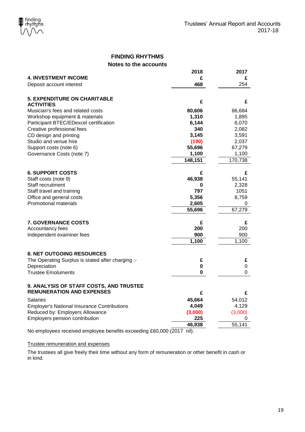|                                                                 | 2018    | 2017    |
|-----------------------------------------------------------------|---------|---------|
| <b>4. INVESTMENT INCOME</b>                                     | £       | £       |
| Deposit account interest                                        | 468     | 254     |
| <b>5. EXPENDITURE ON CHARITABLE</b><br><b>ACTIVITIES</b>        | £       | £       |
| Musician's fees and related costs                               | 80,606  | 86,684  |
| Workshop equipment & materials                                  | 1,310   | 1,895   |
| Participant BTEC/EDexcel certification                          | 6,144   | 6,070   |
| Creative professional fees                                      | 340     | 2,082   |
| CD design and printing                                          | 3,145   | 3,591   |
| Studio and venue hire                                           | (190)   | 2,037   |
| Support costs (note 6)                                          | 55,696  | 67,279  |
| Governance Costs (note 7)                                       | 1,100   | 1,100   |
|                                                                 | 148,151 | 170,738 |
| <b>6. SUPPORT COSTS</b>                                         | £       | £       |
| Staff costs (note 9)                                            | 46,938  | 55,141  |
| Staff recruitment                                               | 0       | 2,328   |
| Staff travel and training                                       | 797     | 1051    |
| Office and general costs                                        | 5,356   | 8,759   |
| <b>Promotional materials</b>                                    | 2,605   | 0       |
|                                                                 | 55,696  | 67,279  |
| <b>7. GOVERNANCE COSTS</b>                                      | £       | £       |
| Accountancy fees                                                | 200     | 200     |
| Independent examiner fees                                       | 900     | 900     |
|                                                                 | 1,100   | 1,100   |
| 8. NET OUTGOING RESOURCES                                       |         |         |
| The Operating Surplus is stated after charging :-               | £       | £       |
| Depreciation                                                    | 0       | 0       |
| <b>Trustee Emoluments</b>                                       | 0       | 0       |
| 9. ANALYSIS OF STAFF COSTS, AND TRUSTEE                         |         |         |
| <b>REMUNERATION AND EXPENSES</b>                                | £       | £       |
| Salaries                                                        | 45,664  | 54,012  |
| <b>Employer's National Insurance Contributions</b>              | 4,049   | 4,129   |
| Reduced by: Employers Allowance                                 | (3,000) | (3,000) |
| Employers pension contribution                                  | 225     | 0       |
|                                                                 | 46,938  | 55,141  |
| No employees received employee benefits exceeding £60,000 (2017 | nil).   |         |

## Trustee remuneration and expenses

The trustees all give freely their time without any form of remuneration or other benefit in cash or in kind.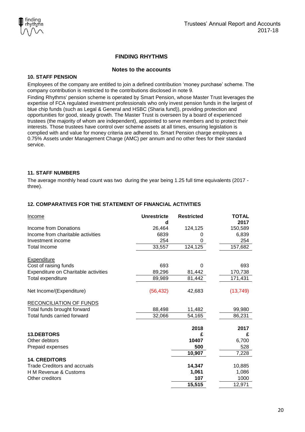# **FINDING RHYTHMS**

## **Notes to the accounts**

## **10. STAFF PENSION**

Employees of the company are entitled to join a defined contribution 'money purchase' scheme. The company contribution is restricted to the contributions disclosed in note 9.

Finding Rhythms' pension scheme is operated by Smart Pension, whose Master Trust leverages the expertise of FCA regulated investment professionals who only invest pension funds in the largest of blue chip funds (such as Legal & General and HSBC (Sharia fund)), providing protection and opportunities for good, steady growth. The Master Trust is overseen by a board of experienced trustees (the majority of whom are independent), appointed to serve members and to protect their interests. Those trustees have control over scheme assets at all times, ensuring legislation is complied with and value for money criteria are adhered to. Smart Pension charge employees a 0.75% Assets under Management Charge (AMC) per annum and no other fees for their standard service.

## **11. STAFF NUMBERS**

The average monthly head count was two during the year being 1.25 full time equivalents (2017 three).

| <b>Income</b>                        | Unrestricte<br>d | <b>Restricted</b> | <b>TOTAL</b><br>2017 |
|--------------------------------------|------------------|-------------------|----------------------|
| Income from Donations                | 26,464           | 124,125           | 150,589              |
| Income from charitable activities    | 6839             | 0                 | 6,839                |
| Investment income                    | 254              | 0                 | 254                  |
| <b>Total Income</b>                  | 33,557           | 124,125           | 157,682              |
| <b>Expenditure</b>                   |                  |                   |                      |
| Cost of raising funds                | 693              | 0                 | 693                  |
| Expenditure on Charitable activities | 89,296           | 81,442            | 170,738              |
| Total expenditure                    | 89,989           | 81,442            | 171,431              |
| Net Income/(Expenditure)             | (56, 432)        | 42,683            | (13, 749)            |
| RECONCILIATION OF FUNDS              |                  |                   |                      |
| Total funds brought forward          | 88,498           | 11,482            | 99,980               |
| Total funds carried forward          | 32,066           | 54,165            | 86,231               |
|                                      |                  | 2018              | 2017                 |
| <b>13.DEBTORS</b>                    |                  | £                 | £                    |
| Other debtors                        |                  | 10407             | 6,700                |
| Prepaid expenses                     |                  | 500               | 528                  |
|                                      |                  | 10,907            | 7,228                |
| <b>14. CREDITORS</b>                 |                  |                   |                      |
| <b>Trade Creditors and accruals</b>  |                  | 14,347            | 10,885               |
| H M Revenue & Customs                |                  | 1,061             | 1,086                |
| Other creditors                      |                  | 107               | 1000                 |
|                                      |                  | 15,515            | 12,971               |

## **12. COMPARATIVES FOR THE STATEMENT OF FINANCIAL ACTIVITIES**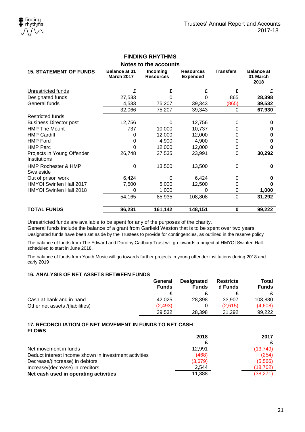| Notes to the accounts                       |                                           |                              |                                     |                  |                                       |
|---------------------------------------------|-------------------------------------------|------------------------------|-------------------------------------|------------------|---------------------------------------|
| <b>15. STATEMENT OF FUNDS</b>               | <b>Balance at 31</b><br><b>March 2017</b> | Incoming<br><b>Resources</b> | <b>Resources</b><br><b>Expended</b> | <b>Transfers</b> | <b>Balance at</b><br>31 March<br>2018 |
| Unrestricted funds                          | £                                         |                              |                                     | £                | £                                     |
| Designated funds                            | 27,533                                    |                              |                                     | 865              | 28,398                                |
| General funds                               | 4,533                                     | 75,207                       | 39,343                              | (865)            | 39,532                                |
|                                             | 32,066                                    | 75,207                       | 39,343                              | 0                | 67,930                                |
| Restricted funds                            |                                           |                              |                                     |                  |                                       |
| <b>Business Director post</b>               | 12,756                                    | 0                            | 12,756                              | 0                | o                                     |
| <b>HMP The Mount</b>                        | 737                                       | 10,000                       | 10,737                              | O                | O                                     |
| <b>HMP Cardiff</b>                          | 0                                         | 12,000                       | 12,000                              |                  | O                                     |
| <b>HMP Ford</b>                             | $\Omega$                                  | 4,900                        | 4,900                               | O                | O                                     |
| <b>HMP Parc</b>                             | 0                                         | 12,000                       | 12,000                              | O                | 0                                     |
| Projects in Young Offender<br>Institutions  | 26,748                                    | 27,535                       | 23,991                              | 0                | 30,292                                |
| <b>HMP Rochester &amp; HMP</b><br>Swaleside | 0                                         | 13,500                       | 13,500                              | 0                | 0                                     |
| Out of prison work                          | 6,424                                     | 0                            | 6,424                               | 0                | O                                     |
| HMYOI Swinfen Hall 2017                     | 7,500                                     | 5,000                        | 12,500                              | O                |                                       |
| HMYOI Swinfen Hall 2018                     | 0                                         | 1,000                        | 0                                   | 0                | 1,000                                 |
|                                             | 54,165                                    | 85,935                       | 108,808                             | 0                | 31,292                                |
| <b>TOTAL FUNDS</b>                          | 86,231                                    | 161,142                      | 148,151                             | 0                | 99,222                                |

Unrestricted funds are available to be spent for any of the purposes of the charity.

General funds include the balance of a grant from Garfield Weston that is to be spent over two years.

Designated funds have been set aside by the Trustees to provide for contingencies, as outlined in the reserve policy

The balance of funds from The Edward and Dorothy Cadbury Trust will go towards a project at HMYOI Swinfen Hall scheduled to start in June 2018.

The balance of funds from Youth Music will go towards further projects in young offender institutions during 2018 and early 2019

## **16. ANALYSIS OF NET ASSETS BETWEEN FUNDS**

|                                 | <b>Designated</b><br>General<br><b>Funds</b><br><b>Funds</b> | <b>Restricte</b><br>d Funds |         |         | Total<br><b>Funds</b> |
|---------------------------------|--------------------------------------------------------------|-----------------------------|---------|---------|-----------------------|
|                                 |                                                              |                             |         |         |                       |
| Cash at bank and in hand        | 42.025                                                       | 28.398                      | 33.907  | 103.830 |                       |
| Other net assets /(liabilities) | (2.493)                                                      |                             | (2.615) | (4.608) |                       |
|                                 | 39.532                                                       | 28.398                      | 31.292  | 99.222  |                       |

## **17. RECONCILIATION OF NET MOVEMENT IN FUNDS TO NET CASH FLOWS**

|                                                       | 2018    | 2017      |
|-------------------------------------------------------|---------|-----------|
|                                                       |         |           |
| Net movement in funds                                 | 12.991  | (13,749)  |
| Deduct interest income shown in investment activities | (468)   | (254)     |
| Decrease/(increase) in debtors                        | (3,679) | (5,566)   |
| Increase/(decrease) in creditors                      | 2.544   | (18, 702) |
| Net cash used in operating activities                 | 11.388  | (38, 271) |